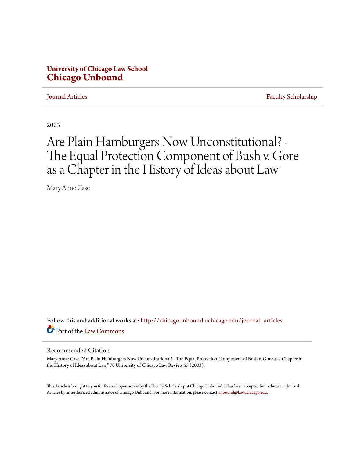## **University of Chicago Law School [Chicago Unbound](http://chicagounbound.uchicago.edu?utm_source=chicagounbound.uchicago.edu%2Fjournal_articles%2F1105&utm_medium=PDF&utm_campaign=PDFCoverPages)**

[Journal Articles](http://chicagounbound.uchicago.edu/journal_articles?utm_source=chicagounbound.uchicago.edu%2Fjournal_articles%2F1105&utm_medium=PDF&utm_campaign=PDFCoverPages) [Faculty Scholarship](http://chicagounbound.uchicago.edu/faculty_scholarship?utm_source=chicagounbound.uchicago.edu%2Fjournal_articles%2F1105&utm_medium=PDF&utm_campaign=PDFCoverPages)

2003

# Are Plain Hamburgers Now Unconstitutional? - The Equal Protection Component of Bush v. Gore as a Chapter in the History of Ideas about Law

Mary Anne Case

Follow this and additional works at: [http://chicagounbound.uchicago.edu/journal\\_articles](http://chicagounbound.uchicago.edu/journal_articles?utm_source=chicagounbound.uchicago.edu%2Fjournal_articles%2F1105&utm_medium=PDF&utm_campaign=PDFCoverPages) Part of the [Law Commons](http://network.bepress.com/hgg/discipline/578?utm_source=chicagounbound.uchicago.edu%2Fjournal_articles%2F1105&utm_medium=PDF&utm_campaign=PDFCoverPages)

### Recommended Citation

Mary Anne Case, "Are Plain Hamburgers Now Unconstitutional? - The Equal Protection Component of Bush v. Gore as a Chapter in the History of Ideas about Law," 70 University of Chicago Law Review 55 (2003).

This Article is brought to you for free and open access by the Faculty Scholarship at Chicago Unbound. It has been accepted for inclusion in Journal Articles by an authorized administrator of Chicago Unbound. For more information, please contact [unbound@law.uchicago.edu.](mailto:unbound@law.uchicago.edu)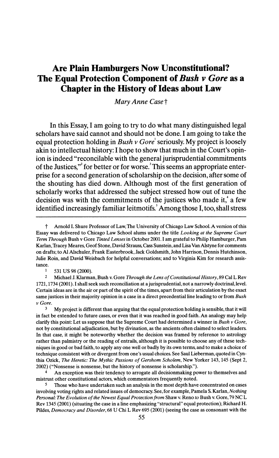# Are Plain Hamburgers Now Unconstitutional? The Equal Protection Component of Bush v Gore as a Chapter in the History of Ideas about Law

Mary Anne Case t

 In this Essay, I am going to try to do what many distinguished legal scholars have said cannot and should not be done. I am going to take the equal protection holding in Bush v Gore' seriously. My project is loosely akin to intellectual history: I hope to show that much in the Court's opin ion is indeed "reconcilable with the general jurisprudential commitments of the Justices," for better or for worse.<sup>3</sup> This seems an appropriate enter prise for a second generation of scholarship on the decision, after some of the shouting has died down. Although most of the first generation of scholarly works that addressed the subject stressed how out of tune the decision was with the commitments of the justices who made it, $^*$  a few identified increasingly familiar leitmotifs.<sup>5</sup> Among those I, too, shall stress

 $\frac{1}{2}$  531 US 98 (2000).

 2 Michael J. Klarman, Bush v. Gore Through the Lens of Constitutional History, 89 Cal L Rev 1721, 1734 (2001). I shall seek such reconciliation at a jurisprudential, not a narrowly doctrinal,level. Certain ideas are in the air or part of the spirit of the times, apart from their articulation by the exact same justices in their majority opinion in a case in a direct precedential line leading to or from Bush v Gore.

 $3$  My project is different than arguing that the equal protection holding is sensible, that it will in fact be extended to future cases, or even that it was reached in good faith. An analogy may help clarify this point: Let us suppose that the Supreme Court had determined a winner in Bush  $\vee$  Gore, not by constitutional adjudication, but by divination, as the ancients often claimed to select leaders. In that case, it might be noteworthy whether the decision was framed by reference to astrology rather than palmistry or the reading of entrails, although it is possible to choose any of these tech niques in good or bad faith, to apply any one well or badly by its own terms, and to make a choice of technique consistent with or divergent from one's usual choices. See Saul Lieberman, quoted in Cyn thia Ozick, The Heretic: The Mythic Passions of Gershom Scholem, New Yorker 143, 145 (Sept 2, 2002) ("Nonsense is nonsense, but the history of nonsense is scholarship.").

 4 An exception was their tendency to arrogate all decisionmaking power to themselves and mistrust other constitutional actors, which commentators frequently noted.

Those who have undertaken such an analysis in the most depth have concentrated on cases involving voting rights and related issues of democracy. See, for example, Pamela S. Karlan, Nothing Personal: The Evolution of the Newest Equal Protection from Shaw v. Reno to Bush v. Gore, 79 NC L Rev 1345 (2001) (situating the case in a line emphasizing "structural" equal protection); Richard H. Pildes. Democracy and Disorder. 68 U Chi L Rev 695 (2001) (seeing the case as consonant with the

t Arnold I. Shure Professor of Law,The University of Chicago Law School.A version of this Essay was delivered to Chicago Law School alums under the title Looking at the Supreme Court Term Through Bush v Gore Tinted Lenses in October 2001. I am grateful to Philip Hamburger, Pam Karlan,Tracey Meares, Geof Stone, David Strauss, Cass Sunstein, and Lisa Van Alstyne for comments on drafts; to Al Alschuler, Frank Easterbrook, Jack Goldsmith, John Harrison, Dennis Hutchinson, Julie Roin, and David Weisbach for helpful conversations; and to Virginia Kim for research assis tance.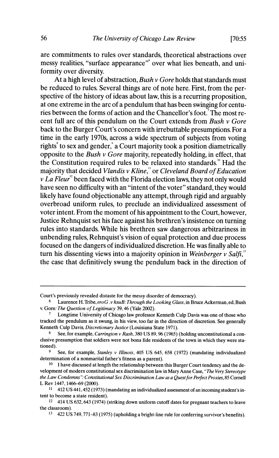are commitments to rules over standards, theoretical abstractions over messy realities, "surface appearance" over what lies beneath, and uniformity over diversity.

At a high level of abstraction, Bush  $\nu$  Gore holds that standards must be reduced to rules. Several things are of note here. First, from the per spective of the history of ideas about law, this is a recurring proposition. at one extreme in the arc of a pendulum that has been swinging for centu ries between the forms of action and the Chancellor's foot.<sup>7</sup> The most recent full arc of this pendulum on the Court extends from Bush  $\nu$  Gore back to the Burger Court's concern with irrebuttable presumptions. For a time in the early 1970s, across a wide spectrum of subjects from voting rights<sup>\*</sup> to sex and gender,<sup>\*</sup> a Court majority took a position diametrically opposite to the Bush  $\nu$  Gore majority, repeatedly holding, in effect, that the Constitution required rules to be relaxed into standards."' Had the majority that decided Vlandis v Kline," or Cleveland Board of Education  $v$  La Fleur<sup>12</sup> been faced with the Florida election laws, they not only would have seen no difficulty with an "intent of the voter" standard, they would likely have found objectionable any attempt, through rigid and arguably overbroad uniform rules, to preclude an individualized assessment of voter intent. From the moment of his appointment to the Court, however, Justice Rehnquist set his face against his brethren's insistence on turning rules into standards. While his brethren saw dangerous arbitrariness in unbending rules, Rehnquist's vision of equal protection and due process focused on the dangers of individualized discretion. He was finally able to turn his dissenting views into a majority opinion in Weinberger v Salfi, $3$ the case that definitively swung the pendulum back in the direction of

Court's previously revealed distaste for the messy disorder of democracy).

<sup>&</sup>lt;sup>6</sup> Laurence H. Tribe, ero G. v hsuB: Through the Looking Glass, in Bruce Ackerman, ed, Bush v. Gore: The Question of Legitimacy 39,46 (Yale 2002).

Longtime University of Chicago law professor Kenneth Culp Davis was one of those who tracked the pendulum as it swung, in his view, too far in the direction of discretion. See generally Kenneth Culp Davis, Discretionary Justice (Louisiana State 1971).

See, for example, Carrington v Rash, 380 US 89, 96 (1965) (holding unconstitutional a con clusive presumption that soldiers were not bona fide residents of the town in which they were sta tioned).

See, for example, *Stanley v Illinois*, 405 US 645, 658 (1972) (mandating individualized determination of a nonmarital father's fitness as a parent).

<sup>&</sup>lt;sup>10</sup> I have discussed at length the relationship between this Burger Court tendency and the development of modern constitutional sex discrimination law in Mary Anne Case, "The Very Stereotype the Law Condemns": Constitutional Sex Discrimination Law as a Quest for Perfect Proxies, 85 Cornell L Rev 1447, 1466–69 (2000).

 <sup>11 412</sup> US 441,452(1973) (mandating an individualized assessment of an incoming student's in tent to become a state resident).

 <sup>12 414</sup> US 632,643 (1974) (striking down uniform cutoff dates for pregnant teachers to leave the classroom).

 <sup>13 422</sup> US 749,771-83 (1975) (upholding a bright-line rule for conferring survivor's benefits).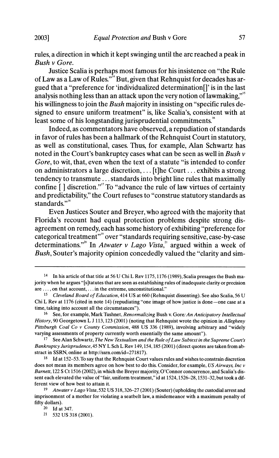rules, a direction in which it kept swinging until the arc reached a peak in Bush v Gore.

 Justice Scalia is perhaps most famous for his insistence on "the Rule of Law as a Law of Rules." 14 But, given that Rehnquist for decades has ar gued that a "preference for 'individualized determination[]' is in the last analysis nothing less than an attack upon the very notion of lawmaking."<sup>5</sup> his willingness to join the Bush majority in insisting on "specific rules designed to ensure uniform treatment" is, like Scalia's, consistent with at least some of his longstanding jurisprudential commitments.<sup>16</sup>

 Indeed, as commentators have observed, a repudiation of standards in favor of rules has been a hallmark of the Rehnquist Court in statutory, as well as constitutional, cases. Thus, for example, Alan Schwartz has noted in the Court's bankruptcy cases what can be seen as well in Bush  $\nu$  Gore, to wit, that, even when the text of a statute "is intended to confer on administrators a large discretion, ... [t]he Court ... exhibits a strong tendency to transmute ... standards into bright line rules that maximally confine  $\lceil$  discretion."<sup>'</sup> To "advance the rule of law virtues of certainty and predictability," the Court refuses to "construe statutory standards as standards."<sup>18</sup>

 Even Justices Souter and Breyer, who agreed with the majority that Florida's recount had equal protection problems despite strong dis agreement on remedy, each has some history of exhibiting "preference for categorical treatment""9 over "standards requiring sensitive, case-by-case determinations."<sup>20</sup> In *Atwater v Lago Vista*,<sup>21</sup> argued within a week of Bush, Souter's majority opinion concededly valued the "clarity and sim-

 <sup>14</sup> In his article of that title at 56 U Chi L Rev 1175,1176 (1989), Scalia presages the Bush ma jority when he argues "[s]tatutes that are seen as establishing rules of inadequate clarity or precision are ... ,on that account,... in the extreme, unconstitutional."

 <sup>15</sup> Cleveland Board of Education, 414 US at 660 (Rehnquist dissenting). See also Scalia, 56 U Chi L Rev at 1176 (cited in note 14) (repudiating "one image of how justice is done-one case at a time, taking into account all the circumstances").

<sup>&</sup>lt;sup>16</sup> See, for example, Mark Tushnet, *Renormalizing* Bush v. Gore: An Anticipatory Intellectual History, 90 Georgetown L J 113, 123 (2001) (noting that Rehnquist wrote the opinion in Allegheny Pittsburgh Coal Co v County Commission, 488 US 336 (1989), involving arbitrary and "widely varying assessments of property currently worth essentially the same amount").

 <sup>17</sup> See Alan Schwartz, The New Textualism and the Rule of Law Subtext in the Supreme Court's Bankruptcy Jurisprudence, 45 NY L Sch L Rev 149,154,185 (2001) (direct quotes are taken from ab stract in SSRN, online at http://ssrn.com/id=271817).

 $18$  Id at 152–53. To say that the Rehnquist Court values rules and wishes to constrain discretion does not mean its members agree on how best to do this. Consider, for example, US Airways, Inc v Barnett, 122 S Ct 1516 (2002), in which the Breyer majority, O'Connor concurrence, and Scalia's dis sent each elevated the value of "fair, uniform treatment," id at 1524,1526-28, 1531-32,but took a dif ferent view of how best to attain it.

<sup>19</sup> Atwater v Lago Vista, 532 US 318, 326–27 (2001) (Souter) (upholding the custodial arrest and imprisonment of a mother for violating a seatbelt law, a misdemeanor with a maximum penalty of fifty dollars).

 <sup>20</sup> Id at 347.

 <sup>21 532</sup> US 318 (2001).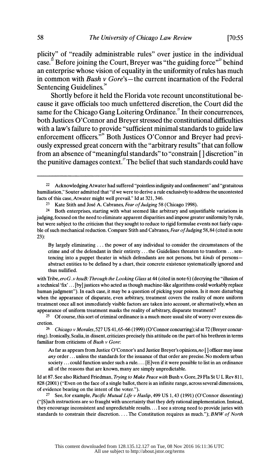plicity" of "readily administrable rules" over justice in the individual case.<sup> $\dot{2}$ </sup> Before joining the Court, Breyer was "the guiding force"<sup> $2$ </sup> behind an enterprise whose vision of equality in the uniformity of rules has much in common with Bush  $\nu$  Gore's—the current incarnation of the Federal Sentencing Guidelines.<sup>4</sup>

 Shortly before it held the Florida vote recount unconstitutional be cause it gave officials too much unfettered discretion, the Court did the same for the Chicago Gang Loitering Ordinance.<sup>25</sup> In their concurrences, both Justices O'Connor and Breyer stressed the constitutional difficulties with a law's failure to provide "sufficient minimal standards to guide law enforcement officers."<sup>26</sup> Both Justices O'Connor and Breyer had previ ously expressed great concern with the "arbitrary results" that can follow from an absence of "meaningful standards" to "constrain [] discretion" in the punitive damages context.<sup>27</sup> The belief that such standards could have

23 Kate Stith and José A. Cabranes, Fear of Judging 58 (Chicago 1998).<br>24 Both enterprises starting with what seemed like arbitrary and uniu

 By largely eliminating . .. the power of any individual to consider the circumstances of the crime and of the defendant in their entirety. .. the Guidelines threaten to transform ... sen tencing into a puppet theater in which defendants are not persons, but *kinds* of persons abstract entities to be defined by a chart, their concrete existence systematically ignored and thus nullified.

with Tribe, ero G. v hsuB: Through the Looking Glass at 44 (cited in note 6) (decrying the "illusion of a technical 'fix' ... [by] justices who acted as though machine-like algorithms could workably replace human judgment"). In each case, it may be a question of picking your poison. Is it more disturbing when the appearance of disparate, even arbitrary, treatment covers the reality of more uniform treatment once all not immediately visible factors are taken into account, or alternatively, when an appearance of uniform treatment masks the reality of arbitrary, disparate treatment?<br>
<sup>25</sup> Of course this sort of criminal ordinance is a much more usual site of worry of

 25 Of course, this sort of criminal ordinance is a much more usual site of worry over excess dis cretion.

<sup>26</sup> Chicago v Morales, 527 US 41, 65–66 (1999) (O'Connor concurring); id at 72 (Breyer concur ring). Ironically, Scalia, in dissent, criticizes precisely this attitude on the part of his brethren in terms familiar from criticisms of Bush  $\nu$  Gore:

As far as appears from Justice O'Connor's and Justice Breyer's opinions, no [] officer may issue any order ... unless the standards for the issuance of that order are precise. No modern urban society ... could function under such a rule.... [E]ven if it were possible to list in an ordinance all of the reasons that are known, many are simply unpredictable.

 Id at 87. See also Richard Friedman, Trying to Make Peace with Bush v. Gore, 29 Fla St U L Rev 811, 828 (2001) ("Even on the face of a single ballot, there is an infinite range, across several dimensions, of evidence bearing on the intent of the voter.").

<sup>27</sup> See, for example, *Pacific Mutual Life v Haslip*, 499 US 1, 43 (1991) (O'Connor dissenting) ("[S]uch instructions are so fraught with uncertainty that they defy rational implementation. Instead, they encourage inconsistent and unpredictable results.... I see a strong need to provide juries with standards to constrain their discretion.... The Constitution requires as much."); BMW of North

 <sup>22</sup> Acknowledging Atwater had suffered "pointless indignity and confinement" and "gratuitous humiliation," Souter admitted that "if we were to derive a rule exclusively to address the uncontested facts of this case, Atwater might well prevail." Id at 321, 346.

Both enterprises, starting with what seemed like arbitrary and unjustifiable variations in judging, focused on the need to eliminate apparent disparities and impose greater uniformity by rule, but were subject to the criticism that they sought to reduce to rigid formulae events not fairly capa ble of such mechanical reduction. Compare Stith and Cabranes, Fear of Judging 58,84 (cited in note 23):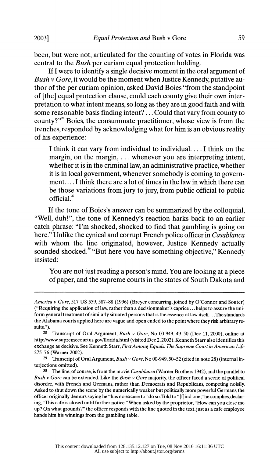been, but were not, articulated for the counting of votes in Florida was central to the Bush per curiam equal protection holding.

 If I were to identify a single decisive moment in the oral argument of Bush  $\nu$  Gore, it would be the moment when Justice Kennedy, putative au thor of the per curiam opinion, asked David Boies "from the standpoint of [the] equal protection clause, could each county give their own inter pretation to what intent means, so long as they are in good faith and with some reasonable basis finding intent? ... Could that vary from county to county?"<sup>8</sup> Boies, the consummate practitioner, whose view is from the trenches, responded by acknowledging what for him is an obvious reality of his experience:

 I think it can vary from individual to individual.... I think on the margin, on the margin, . . . whenever you are interpreting intent, whether it is in the criminal law, an administrative practice, whether it is in local government, whenever somebody is coming to govern ment.... I think there are a lot of times in the law in which there can be those variations from jury to jury, from public official to public official.

 If the tone of Boies's answer can be summarized by the colloquial, "Well, duh!", the tone of Kennedy's reaction harks back to an earlier catch phrase: "I'm shocked, shocked to find that gambling is going on here." Unlike the cynical and corrupt French police officer in Casablanca with whom the line originated, however, Justice Kennedy actually sounded shocked.<sup>30</sup> "But here you have something objective." Kennedy insisted:

 You are not just reading a person's mind. You are looking at a piece of paper, and the supreme courts in the states of South Dakota and

America v Gore, 517 US 559, 587-88 (1996) (Breyer concurring, joined by O'Connor and Souter) ("Requiring the application of law, rather than a decisionmaker's caprice ... helps to assure the uni form general treatment of similarly situated persons that is the essence of law itself... .The standards the Alabama courts applied here are vague and open ended to the point where they risk arbitrary re sults.").

<sup>&</sup>lt;sup>28</sup> Transcript of Oral Argument, *Bush v Gore*, No 00-949, 49-50 (Dec 11, 2000), online at http://www.supremecourtus.gov/florida.html (visited Dec 2,2002). Kenneth Starr also identifies this exchange as decisive. See Kenneth Starr, First Among Equals: The Supreme Court in American Life 275-76 (Warner 2002).

<sup>&</sup>lt;sup>29</sup> Transcript of Oral Argument, Bush v Gore, No 00-949, 50-52 (cited in note 28) (internal interjections omitted).

<sup>&</sup>lt;sup>30</sup> The line, of course, is from the movie *Casablanca* (Warner Brothers 1942), and the parallel to Bush v Gore can be extended. Like the Bush v Gore majority, the officer faced a scene of political disorder, with French and Germans, rather than Democrats and Republicans, competing noisily. Asked to shut down the scene by the numerically weaker but politically more powerful Germans, the officer originally demurs saying he "has no excuse to" do so.Told to "[f]ind one," he complies, declar ing, "This cafe is closed until further notice." When asked by the proprietor, "How can you close me up? On what grounds?" the officer responds with the line quoted in the text, just as a cafe employee hands him his winnings from the gambling table.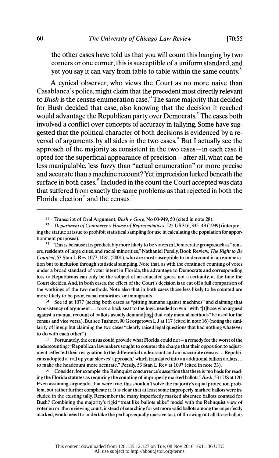the other cases have told us that you will count this hanging by two corners or one corner, this is susceptible of a uniform standard, and yet you say it can vary from table to table within the same county.<sup>31</sup>

 A cynical observer, who views the Court as no more naive than Casablanca's police, might claim that the precedent most directly relevant to Bush is the census enumeration case.<sup>32</sup> The same majority that decided for Bush decided that case, also knowing that the decision it reached would advantage the Republican party over Democrats.<sup>33</sup> The cases both involved a conflict over concepts of accuracy in tallying. Some have sug gested that the political character of both decisions is evidenced by a re-  $\overline{\mathbf{v}}$  versal of arguments by all sides in the two cases.<sup>34</sup> But I actually see the approach of the majority as consistent in the two cases -in each case it opted for the superficial appearance of precision- after all, what can be less manipulable, less fuzzy than "actual enumeration" or more precise and accurate than a machine recount? Yet imprecision lurked beneath the surface in both cases.<sup>35</sup> Included in the count the Court accepted was data that suffered from exactly the same problems as that rejected in both the Florida election<sup>36</sup> and the census.<sup>37</sup>

<sup>33</sup> This is because it is predictably more likely to be voters in Democratic groups, such as "rent ers, residents of large cities, and racial minorities," Nathaniel Persily, Book Review, The Right to Be Counted, 53 Stan L Rev 1077, 1081 (2001), who are most susceptible to undercount in an enumera tion but to inclusion through statistical sampling. Note that, as with the continued counting of votes under a broad standard of voter intent in Florida, the advantage to Democrats and corresponding loss to Republicans can only be the subject of an educated guess, not a certainty, at the time the Court decides. And, in both cases, the effect of the Court's decision is to cut off a full comparison of the workings of the two methods. Note also that in both cases those less likely to be counted are more likely to be poor, racial minorities, or immigrants.

 34 See id at 1077 (seeing both cases as "pitting humans against machines" and claiming that "consistency of argument ... took a back seat to the logic needed to win" with "[t]hose who argued against a manual recount of ballots usually demand[ing] that only manual methods" be used for the census and vice versa). But see Tushnet, 90 Georgetown L J at 117 (cited in note 16) (noting the simi larity of lineup but claiming the two cases "clearly raised legal questions that had nothing whatever to do with each other").

 $35$  Fortunately, the census could provide what Florida could not  $-a$  remedy for the worst of the undercounting: "Republican lawmakers sought to counter the charge that their opposition to adjust ment reflected their resignation to the differential undercount and an inaccurate census. ... Republi cans adopted a 'roll up your sleeves' approach,' which translated into an additional billion dollars ... to make the headcount more accurate." Persily, 53 Stan L Rev at 1097 (cited in note 33).

<sup>36</sup> Consider, for example, the Rehnquist concurrence's assertion that there is "no basis for read ing the Florida statutes as requiring the counting of improperly marked ballots" Bush, 531 US at 120. Even assuming, arguendo, that were true, this shouldn't solve the majority's equal protection prob lem, but rather further complicate it. It is clear that at least some improperly marked ballots were in cluded in the existing tally. Remember the many imperfectly marked absentee ballots counted for Bush? Combining the majority's rigid "treat like ballots alike" model with the Rehnquist view of voter error, the reviewing court, instead of searching for yet more valid ballots among the imperfectly marked, would need to undertake the perhaps equally massive task of throwing out all those ballots

<sup>&</sup>lt;sup>31</sup> Transcript of Oral Argument, *Bush v Gore*, No 00-949, 50 (cited in note 28).<br><sup>32</sup> Department of Commerce y House of Representatives 525 US 316 335–43 (19)

 <sup>32</sup> Department of Commerce v House of Representatives, 525 US 316,335-43 (1999) (interpret ing the statute at issue to prohibit statistical sampling for use in calculating the population for appor tionment purposes).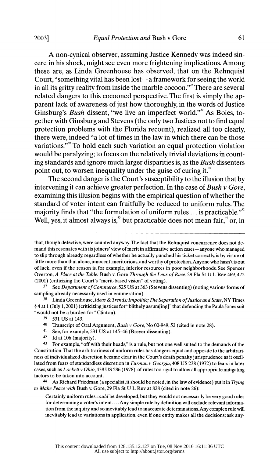A non-cynical observer, assuming Justice Kennedy was indeed sin cere in his shock, might see even more frightening implications. Among these are, as Linda Greenhouse has observed, that on the Rehnquist Court, "something vital has been lost  $-a$  framework for seeing the world in all its gritty reality from inside the marble cocoon."<sup>\*</sup> There are several related dangers to this cocooned perspective. The first is simply the ap parent lack of awareness of just how thoroughly, in the words of Justice Ginsburg's Bush dissent, "we live an imperfect world." $\mathcal{S}$  As Boies, to gether with Ginsburg and Stevens (the only two Justices not to find equal protection problems with the Florida recount), realized all too clearly, there were, indeed "a lot of times in the law in which there can be those variations."<sup>\*</sup> To hold each such variation an equal protection violation would be paralyzing; to focus on the relatively trivial deviations in count ing standards and ignore much larger disparities is, as the Bush dissenters point out, to worsen inequality under the guise of curing it.<sup>41</sup>

 The second danger is the Court's susceptibility to the illusion that by intervening it can achieve greater perfection. In the case of Bush  $\gamma$  Gore, examining this illusion begins with the empirical question of whether the standard of voter intent can fruitfully be reduced to uniform rules. The majority finds that "the formulation of uniform rules  $\dots$  is practicable."<sup>42</sup> Well, yes, it almost always is, $4$  but practicable does not mean fair, $4$  or, in

 $38$  Linda Greenhouse, Ideas & Trends: Impolitic; The Separation of Justice and State, NY Times ? 4 at 1 (July 1,2001) (criticizing justices for "blithely assum[ing]" that defending the Paula Jones suit "would not be a burden for" Clinton).

- 40 Transcript of Oral Argument, Bush v Gore, No 00-949, 52 (cited in note 28).
- 41 See, for example, 531 US at 145-46 (Breyer dissenting).
- 42 Id at 106 (majority).

44 As Richard Friedman (a specialist, it should be noted, in the law of evidence) put it in Trying to Make Peace with Bush v. Gore, 29 Fla St U L Rev at 828 (cited in note 26):

 Certainly uniform rules could be developed, but they would not necessarily be very good rules for determining a voter's intent.... Any simple rule by definition will exclude relevant informa tion from the inquiry and so inevitably lead to inaccurate determinations. Any complex rule will inevitably lead to variations in application, even if one entity makes all the decisions; ask any-

that, though defective, were counted anyway. The fact that the Rehnquist concurrence does not de mand this resonates with its joiners' view of merit in affirmative action cases—anyone who managed to slip through already, regardless of whether he actually punched his ticket correctly, is by virtue of little more than that alone, innocent, meritorious, and worthy of protection.Anyone who hasn't is out of luck, even if the reason is, for example, inferior resources in poor neighborhoods. See Spencer Overton, A Place at the Table: Bush v. Gore Through the Lens of Race, 29 Fla St U L Rev 469,472 (2001) (criticizing the Court's "merit-based vision" of voting).

<sup>&</sup>lt;sup>37</sup> See *Department of Commerce*, 525 US at 363 (Stevens dissenting) (noting various forms of sampling already necessarily used in enumeration).

 <sup>39 531</sup> US at 143.

 <sup>43</sup> For example, "off with their heads," is a rule, but not one well suited to the demands of the Constitution. That the arbitrariness of uniform rules has dangers equal and opposite to the arbitrari ness of individualized discretion became clear in the Court's death penalty jurisprudence as it oscil lated from fears of standardless discretion in Furman  $\nu$  Georgia, 408 US 238 (1972) to fears in later cases, such as *Lockett v Ohio*, 438 US 586 (1978), of rules too rigid to allow all appropriate mitigating factors to be taken into account.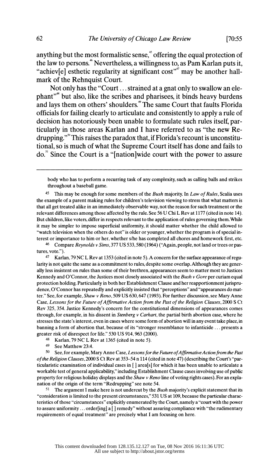anything but the most formalistic sense,<sup>45</sup> offering the equal protection of the law to persons." Nevertheless, a willingness to, as Pam Karlan puts it, "achiev[e] esthetic regularity at significant cost"<sup> $\dot{m}$ </sup> may be another hallmark of the Rehnquist Court.

 Not only has the "Court ... strained at a gnat only to swallow an ele phant"<sup>\*</sup> but also, like the scribes and pharisees, it binds heavy burdens and lays them on others' shoulders.<sup>49</sup> The same Court that faults Florida officials for failing clearly to articulate and consistently to apply a rule of decision has notoriously been unable to formulate such rules itself, par ticularly in those areas Karlan and I have referred to as "the new Re drupping." $\degree$  This raises the paradox that, if Florida's recount is unconstitu tional, so is much of what the Supreme Court itself has done and fails to do.<sup>51</sup> Since the Court is a "[nation]wide court with the power to assure

 47 Karlan, 79 NC L Rev at 1353 (cited in note 5). A concern for the surface appearance of regu larity is not quite the same as a commitment to rules, despite some overlap. Although they are gener ally less insistent on rules than some of their brethren, appearances seem to matter most to Justices Kennedy and O'Connor, the Justices most closely associated with the Bush v Gore per curiam equal protection holding. Particularly in both her Establishment Clause and her reapportionment jurispru dence, O'Connor has repeatedly and explicitly insisted that "perceptions" and "appearances do mat ter." See, for example, *Shaw v Reno*, 509 US 630, 647 (1993). For further discussion, see Mary Anne Case, Lessons for the Future of Affirmative Action from the Past of the Religion Clauses, 2000 S Ct Rev 325, 354. Justice Kennedy's concern for the constitutional dimensions of appearances comes through, for example, in his dissent in *Stenberg v Carhart*, the partial birth abortion case, where he stresses the state's interest, even in cases where some form of abortion will in any event take place, in banning a form of abortion that, because of its "stronger resemblance to infanticide ... presents a greater risk of disrespect for life." 530 US 914,963 (2000).

48 Karlan, 79 NC L Rev at 1365 (cited in note 5).<br>49 See Matthew 23:4

See Matthew 23:4.

 $50$  See, for example, Mary Anne Case, Lessons for the Future of Affirmative Action from the Past of the Religion Clauses, 2000 S Ct Rev at 353-54 n 114 (cited in note 47) (describing the Court's "par ticularistic examination of individual cases in [ ] area[s] for which it has been unable to articulate a workable test of general applicability," including Establishment Clause cases involving use of public property for religious holiday displays and the *Shaw v Reno* line of voting rights cases). For an explanation of the origin of the term "Redrupping" see note 54.

The argument I make here is not undercut by the Bush majority's explicit statement that its "consideration is limited to the present circumstances," 531 US at 109, because the particular charac teristics of those "circumstances" explicitly enumerated by the Court, namely a "court with the power to assure uniformity ... order[ing] a [ ] remedy" without assuring compliance with "the rudimentary requirements of equal treatment" are precisely what I am focusing on here.

body who has to perform a recurring task of any complexity, such as calling balls and strikes throughout a baseball game.

<sup>&</sup>lt;sup>45</sup> This may be enough for some members of the *Bush* majority. In *Law of Rules*, Scalia uses the example of a parent making rules for children's television viewing to stress that what matters is that all get treated alike in an immediately observable way, not the reason for such treatment or the relevant differences among those affected by the rule. See 56 U Chi L Rev at 1177 (cited in note 14). But children, like voters, differ in respects relevant to the application of rules governing them.While it may be simpler to impose superficial uniformity, it should matter whether the child allowed to "watch television when the others do not" is older or younger, whether the program is of special in terest or importance to him or her, whether s/he has completed all chores and homework first, etc.

<sup>46</sup> Compare Reynolds v Sims, 377 US 533, 580 (1964) ("Again, people, not land or trees or pastures, vote.").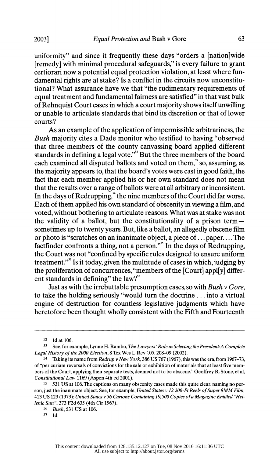uniformity" and since it frequently these days "orders a [nationlwide [remedy] with minimal procedural safeguards," is every failure to grant certiorari now a potential equal protection violation, at least where fun damental rights are at stake? Is a conflict in the circuits now unconstitu tional? What assurance have we that "the rudimentary requirements of equal treatment and fundamental fairness are satisfied" in that vast bulk of Rehnquist Court cases in which a court majority shows itself unwilling or unable to articulate standards that bind its discretion or that of lower courts?

 As an example of the application of impermissible arbitrariness, the Bush majority cites a Dade monitor who testified to having "observed that three members of the county canvassing board applied different standards in defining a legal vote." $\frac{1}{2}$  But the three members of the board each examined all disputed ballots and voted on them,<sup>33</sup> so, assuming, as the majority appears to, that the board's votes were cast in good faith, the fact that each member applied his or her own standard does not mean that the results over a range of ballots were at all arbitrary or inconsistent. In the days of Redrupping, $*$  the nine members of the Court did far worse. Each of them applied his own standard of obscenity in viewing a film, and voted, without bothering to articulate reasons. What was at stake was not the validity of a ballot, but the constitutionality of a prison term sometimes up to twenty years. But, like a ballot, an allegedly obscene film or photo is "scratches on an inanimate object, a piece of ... paper.... The factfinder confronts a thing, not a person."<sup>55</sup> In the days of Redrupping, the Court was not "confined by specific rules designed to ensure uniform treatment."<sup>56</sup> Is it today, given the multitude of cases in which, judging by the proliferation of concurrences, "members of the [Court] appl[y] differ ent standards in defining" the law? $57$ 

Just as with the irrebuttable presumption cases, so with Bush  $\nu$  Gore, to take the holding seriously "would turn the doctrine ... into a virtual engine of destruction for countless legislative judgments which have heretofore been thought wholly consistent with the Fifth and Fourteenth

 <sup>52</sup> Id at 106.

<sup>53</sup> See, for example, Lynne H. Rambo, The Lawyers' Role in Selecting the President: A Complete Legal History of the 2000 Election, 8 Tex Wes L Rev 105,208-09 (2002).

<sup>54</sup> Taking its name from Redrup v New York, 386 US 767 (1967), this was the era, from 1967-73, of "per curiam reversals of convictions for the sale or exhibition of materials that at least five mem bers of the Court, applying their separate tests, deemed not to be obscene." Geoffrey R. Stone, et al, Constitutional Law 1169 (Aspen 4th ed 2001).

 <sup>55 531</sup> US at 106. The captions on many obscenity cases made this quite clear, naming no per son, just the inanimate object. See, for example, United States v 12 200-Ft Reels of Super 8MM Film, 413 US 123 (1973); United States v 56 Cartons Containing 19,500 Copies of a Magazine Entitled "Hel lenic Sun", 373 F2d 635 (4th Cir 1967).

 <sup>56</sup> Bush, 531 US at 106.

 <sup>57</sup> Id.